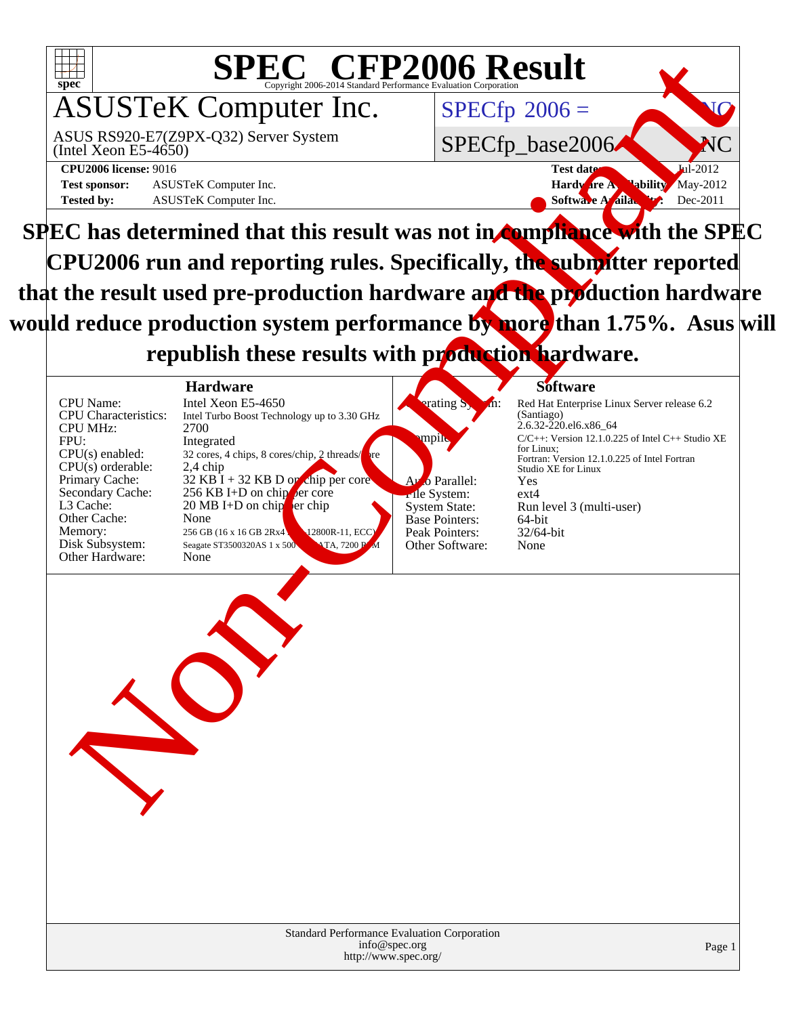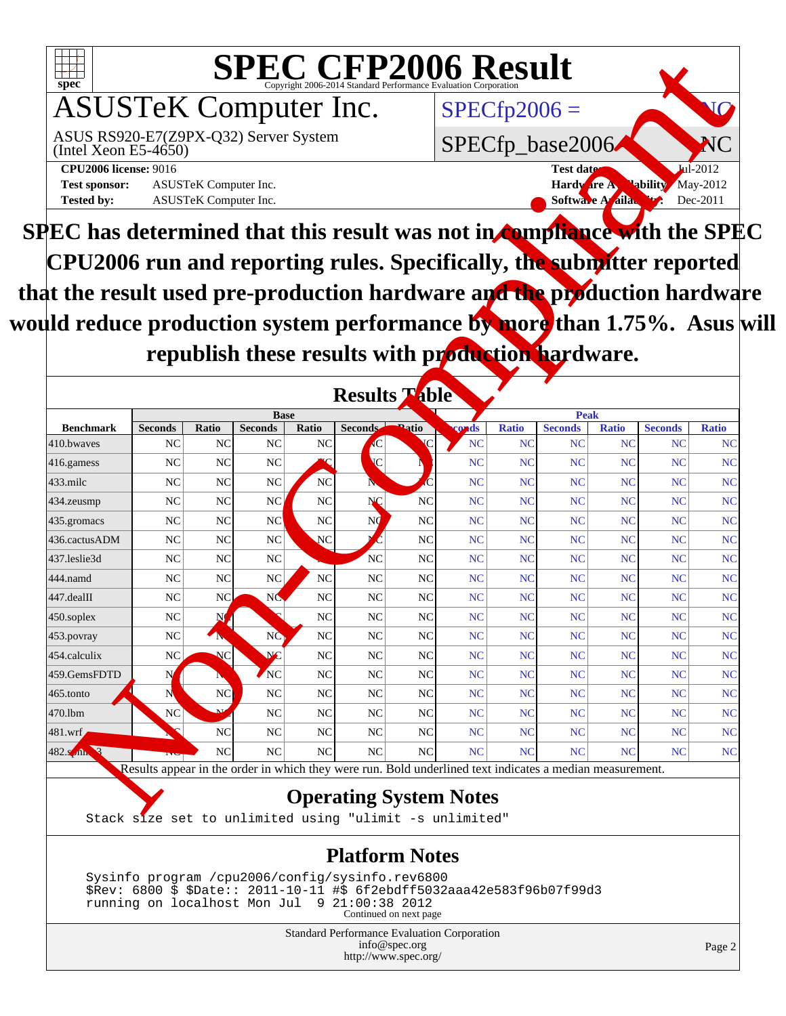

**SPEC has determined that this result was not in compliance with the SPEC CPU2006 run and reporting rules. Specifically, the submitter reported that the result used pre-production hardware and the production hardware** would reduce production system performance by more than 1.75%. Asus will republish these results with production hardware.

|                                                                                                                    |                |                                |                                                   |                |                                  | SPECCEP2006 Evaluation Corporation |                                   |                                                             |                               |                 |                        |              |                              |
|--------------------------------------------------------------------------------------------------------------------|----------------|--------------------------------|---------------------------------------------------|----------------|----------------------------------|------------------------------------|-----------------------------------|-------------------------------------------------------------|-------------------------------|-----------------|------------------------|--------------|------------------------------|
| spec <sup>®</sup><br><b>ASUSTeK Computer Inc.</b><br>ASUS RS920-E7(Z9PX-Q32) Server System<br>(Intel Xeon E5-4650) |                |                                |                                                   |                |                                  |                                    | $SPECfp2006 =$<br>SPECfp_base2006 |                                                             |                               |                 |                        |              |                              |
|                                                                                                                    |                |                                |                                                   |                |                                  |                                    |                                   |                                                             |                               |                 |                        |              | <b>CPU2006</b> license: 9016 |
| <b>Test sponsor:</b><br>ASUSTeK Computer Inc.<br>ASUSTeK Computer Inc.                                             |                |                                |                                                   |                |                                  |                                    |                                   | <b>May-2012</b><br>Hardware A.<br><b>Softwa</b><br>Dec-2011 |                               |                 |                        |              |                              |
| <b>Tested by:</b>                                                                                                  |                |                                |                                                   |                |                                  |                                    |                                   |                                                             |                               | A aila          |                        |              |                              |
| PEC has determined that this result was not in <b>compliance wi</b> th the SPE (                                   |                |                                |                                                   |                |                                  |                                    |                                   |                                                             |                               |                 |                        |              |                              |
| CPU2006 run and reporting rules. Specifically, the submitter reported                                              |                |                                |                                                   |                |                                  |                                    |                                   |                                                             |                               |                 |                        |              |                              |
| at the result used pre-production hardware and the production hardwar                                              |                |                                |                                                   |                |                                  |                                    |                                   |                                                             |                               |                 |                        |              |                              |
|                                                                                                                    |                |                                |                                                   |                |                                  |                                    |                                   |                                                             |                               |                 |                        |              |                              |
| µld reduce production system performance by more than 1.75%. Asus w                                                |                |                                |                                                   |                |                                  |                                    |                                   |                                                             |                               |                 |                        |              |                              |
|                                                                                                                    |                |                                |                                                   |                |                                  |                                    |                                   |                                                             |                               |                 |                        |              |                              |
|                                                                                                                    |                |                                | republish these results with production hardware. |                |                                  |                                    |                                   |                                                             |                               |                 |                        |              |                              |
|                                                                                                                    |                |                                |                                                   |                | <b>Results While</b>             |                                    |                                   |                                                             |                               |                 |                        |              |                              |
| <b>Benchmark</b>                                                                                                   | <b>Seconds</b> | Ratio                          | <b>Base</b><br><b>Seconds</b>                     | Ratio          | Seconds                          | <b>Patio</b>                       | ands                              | <b>Ratio</b>                                                | <b>Peak</b><br><b>Seconds</b> | <b>Ratio</b>    | <b>Seconds</b>         | <b>Ratio</b> |                              |
| 410.bwayes                                                                                                         | NC             | NC                             | NC                                                | <b>NC</b>      |                                  |                                    | <b>NC</b>                         | <b>NC</b>                                                   | NC                            | NC              | <b>NC</b>              | NC           |                              |
| 416.gamess                                                                                                         | NC             | N <sub>C</sub>                 | NC                                                |                | $\overline{C}$                   |                                    | NC                                | NC                                                          | NC                            | NC              | <b>NC</b>              | NC           |                              |
|                                                                                                                    | NC             | NC                             | NC                                                | <b>NC</b>      |                                  |                                    | NC                                | <b>NC</b>                                                   | NC                            | NC              | <b>NC</b>              | NC           |                              |
|                                                                                                                    |                |                                |                                                   |                |                                  |                                    |                                   |                                                             |                               |                 |                        |              |                              |
|                                                                                                                    | NC             | N <sub>C</sub>                 | NC.                                               | <b>NC</b>      | NÇ                               | NC                                 | NC                                | NC                                                          | NC                            | NC              | <b>NC</b>              | NC           |                              |
|                                                                                                                    | NC             | NC                             | NC                                                | <b>NC</b>      | N                                | NC                                 | NC                                | <b>NC</b>                                                   | NC                            | NC              | <b>NC</b>              | NC           |                              |
|                                                                                                                    | NC             | N <sub>C</sub>                 | NC                                                | NC             |                                  | NC                                 | NC                                | <b>NC</b>                                                   | NC                            | NC              | <b>NC</b>              | NC           |                              |
|                                                                                                                    | NC             | NC                             | NC                                                |                | N <sub>C</sub>                   | NC                                 | NC                                | <b>NC</b>                                                   | NC                            | NC              | <b>NC</b>              | NC           |                              |
|                                                                                                                    | N <sub>C</sub> | N <sub>C</sub>                 | N <sub>C</sub>                                    | N <sub>C</sub> | N <sub>C</sub>                   | NC                                 | NC                                | NC                                                          | NC                            | NC              | <b>NC</b>              | NC           |                              |
|                                                                                                                    | NC             | NC                             | NC                                                | <b>NC</b>      | NC                               | NC                                 | NC                                | <b>NC</b>                                                   | NC                            | NC              | NC                     | <b>NC</b>    |                              |
| 433.milc<br>434.zeusmp<br>435.gromacs<br>436.cactusADM<br>437.leslie3d<br>444.namd<br>447.dealII<br>$450$ .soplex  | NC             | ŅQ                             |                                                   | <b>NC</b>      | N <sub>C</sub>                   | NC                                 | NC                                | <b>NC</b>                                                   | NC                            | NC              | <b>NC</b>              | NC           |                              |
|                                                                                                                    | <b>NC</b>      | ZМ                             | <b>NO</b>                                         | NC             | N <sub>C</sub>                   | NC                                 | NC                                | N <sub>C</sub>                                              | NC                            | NC              | <b>NC</b>              | <b>NC</b>    |                              |
|                                                                                                                    | <b>NC</b>      | <b>NC</b>                      | <b>NG</b>                                         | NC             | N <sub>C</sub>                   | NC                                 | NC                                | NC                                                          | NC                            | NC              | <b>NC</b>              | NC           |                              |
|                                                                                                                    | N              |                                | NC <sub>N</sub>                                   | <b>NC</b>      | NC                               | NC                                 | NC                                | <b>NC</b>                                                   | NC                            | <b>NC</b>       | <b>NC</b>              | NC           |                              |
|                                                                                                                    | N              | N <sub>C</sub><br>$\mathbf{M}$ | NC                                                | N <sub>C</sub> | N <sub>C</sub>                   | NC                                 | NC                                | <b>NC</b>                                                   | NC                            | NC              | <b>NC</b>              | NC           |                              |
|                                                                                                                    | N <sub>C</sub> |                                | NC                                                | <b>NC</b>      | NC                               | NC                                 | NC<br>NC                          | <b>NC</b><br>NC                                             | NC                            | NC              | <b>NC</b>              | NC           |                              |
| 453.povray<br>454.calculix<br>459.GemsFDTD<br>465.tonto<br>470.1bm<br>481.wrf<br>482. Spin                         |                | NC<br>NC                       | NC<br>NC                                          | NC<br>NC       | N <sub>C</sub><br>N <sub>C</sub> | NC<br>NC                           | NC                                | NC                                                          | NC<br>NC                      | NC<br><b>NC</b> | <b>NC</b><br><b>NC</b> | NC<br>NC     |                              |

<http://www.spec.org/>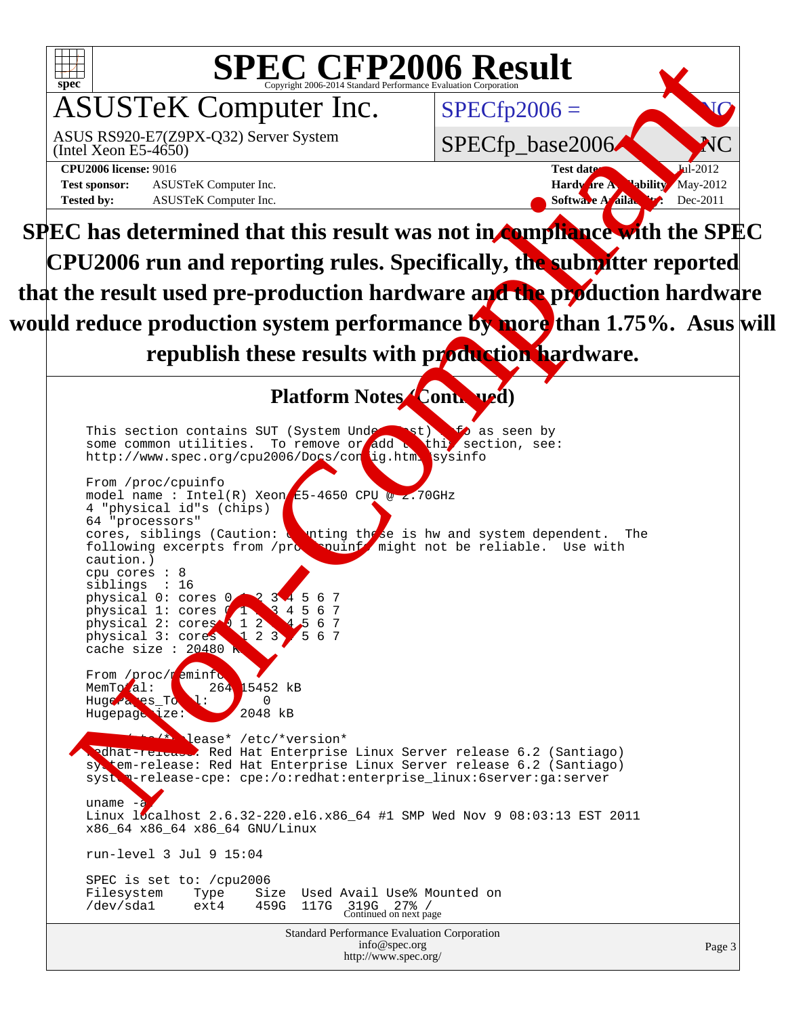

| info@spec.org        |  |
|----------------------|--|
| http://www.spec.org/ |  |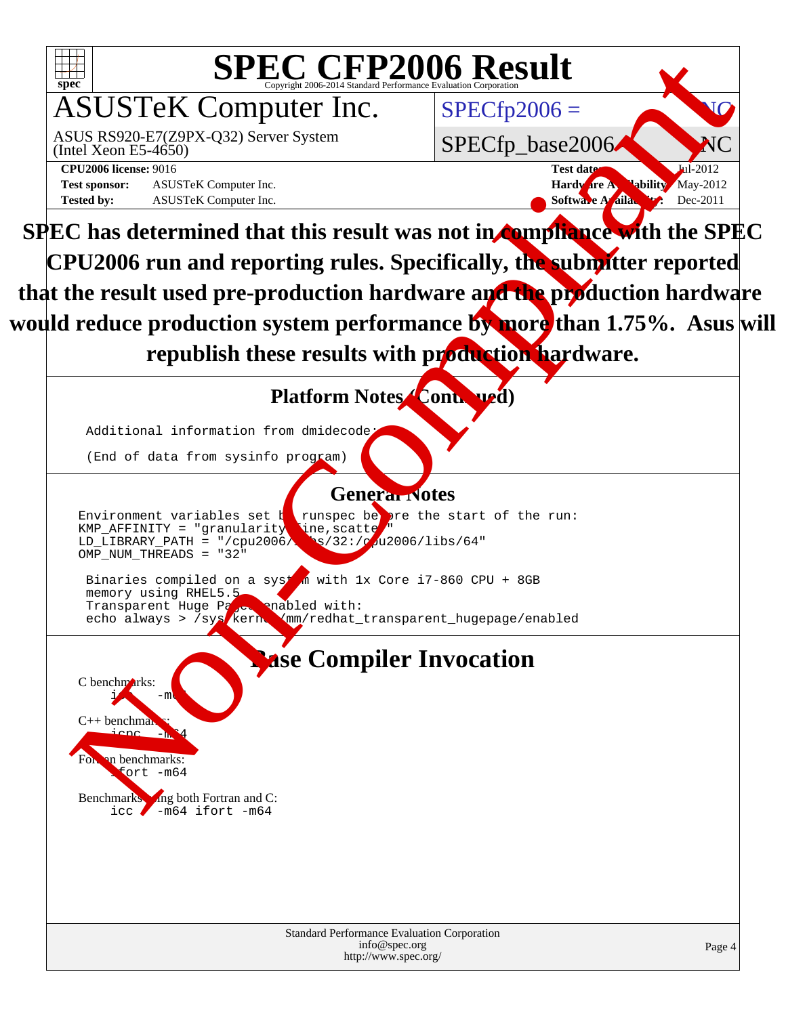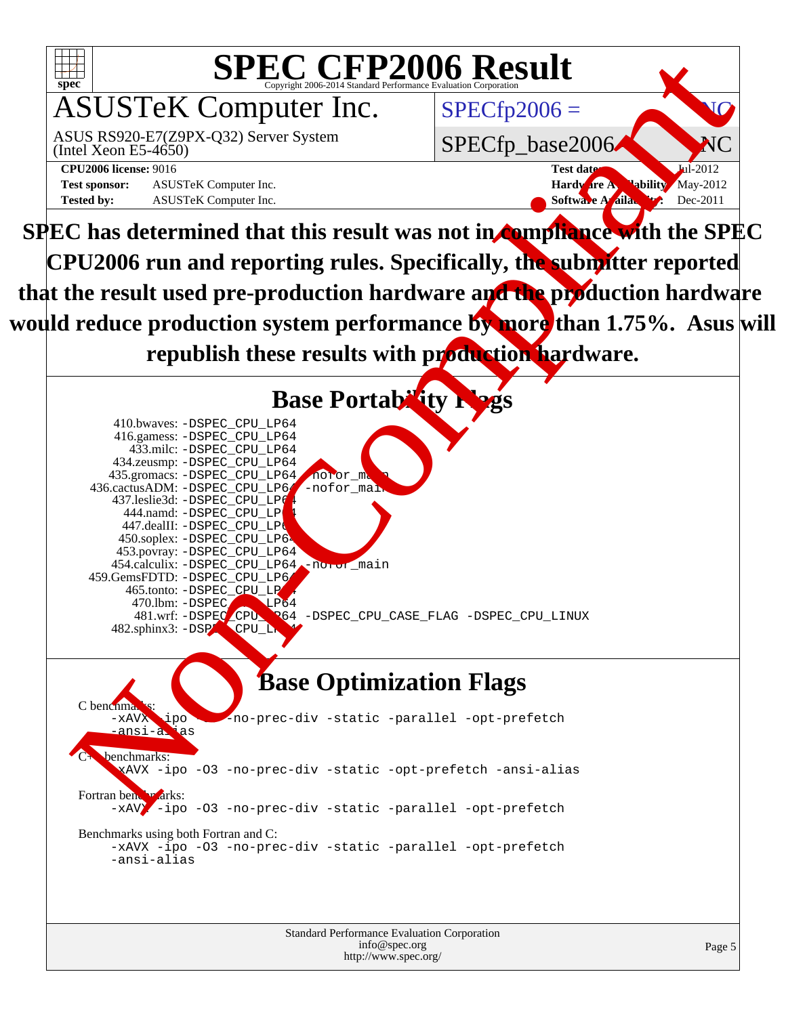![](_page_4_Picture_0.jpeg)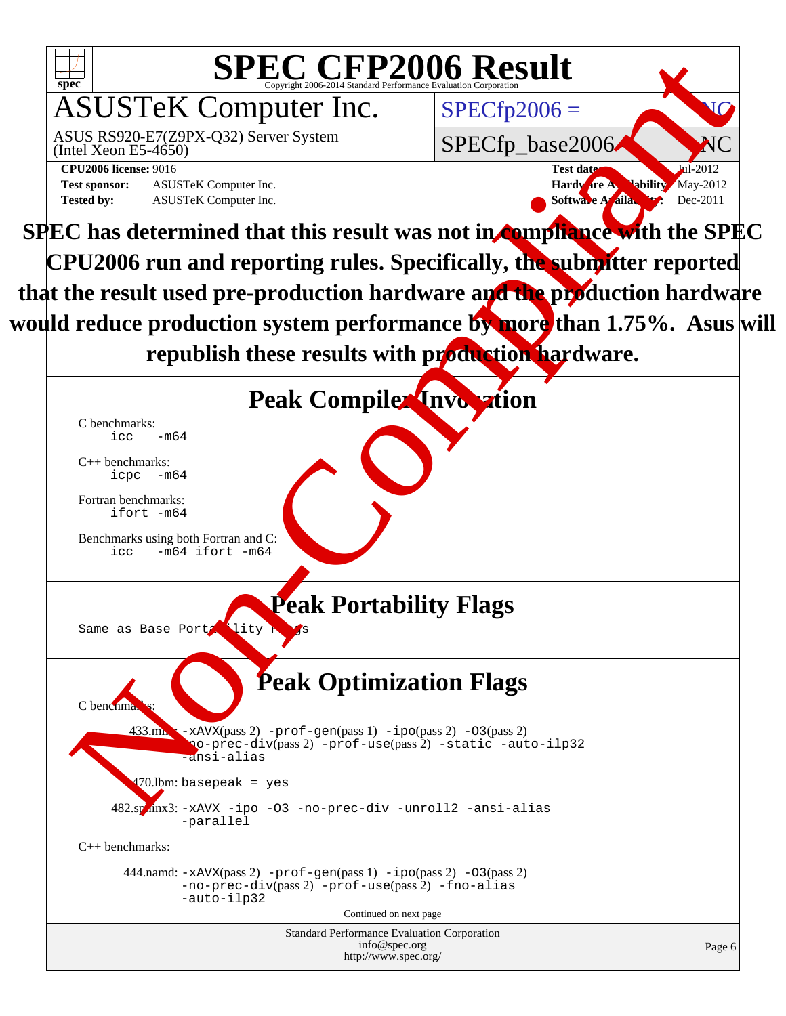![](_page_5_Picture_0.jpeg)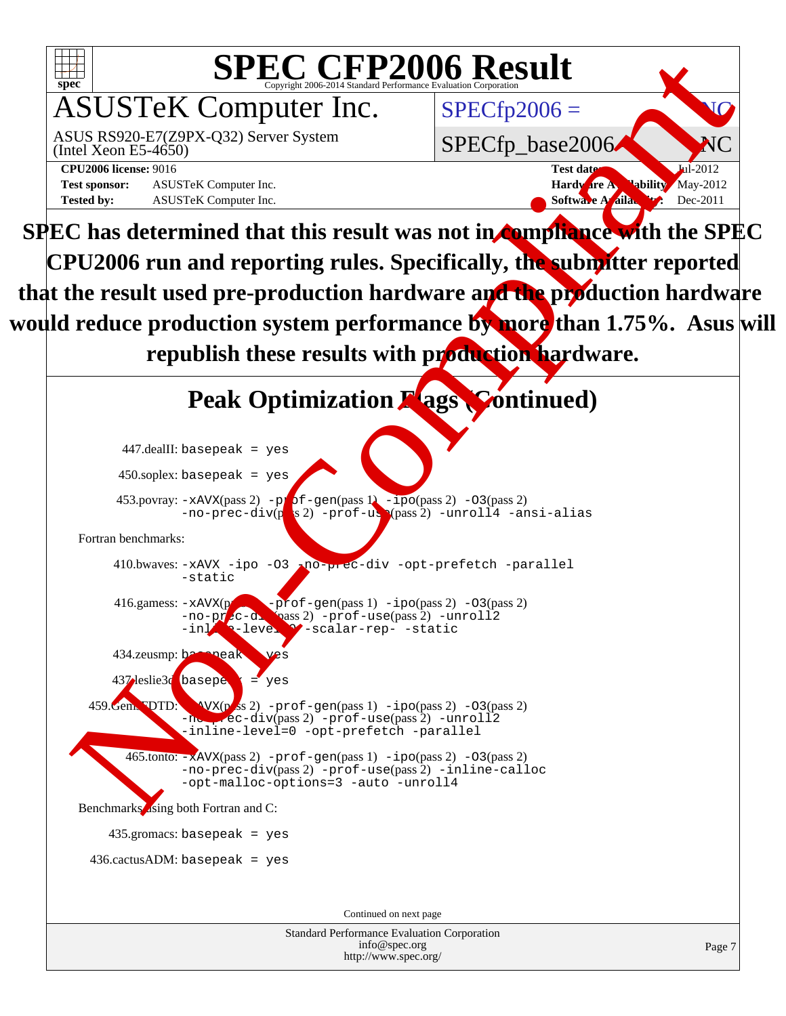![](_page_6_Figure_0.jpeg)